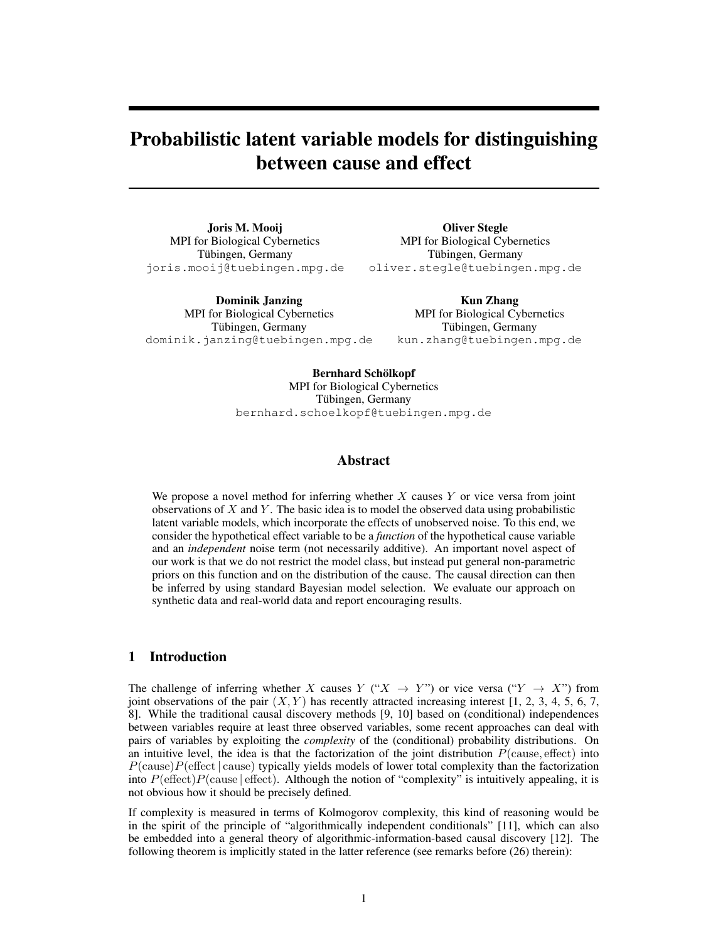# Probabilistic latent variable models for distinguishing between cause and effect

Joris M. Mooij MPI for Biological Cybernetics Tübingen, Germany joris.mooij@tuebingen.mpg.de

Oliver Stegle MPI for Biological Cybernetics Tübingen, Germany oliver.stegle@tuebingen.mpg.de

Dominik Janzing MPI for Biological Cybernetics Tübingen, Germany dominik.janzing@tuebingen.mpg.de

Kun Zhang MPI for Biological Cybernetics Tübingen, Germany kun.zhang@tuebingen.mpg.de

Bernhard Schölkopf MPI for Biological Cybernetics Tübingen, Germany bernhard.schoelkopf@tuebingen.mpg.de

## Abstract

We propose a novel method for inferring whether  $X$  causes  $Y$  or vice versa from joint observations of  $X$  and  $Y$ . The basic idea is to model the observed data using probabilistic latent variable models, which incorporate the effects of unobserved noise. To this end, we consider the hypothetical effect variable to be a *function* of the hypothetical cause variable and an *independent* noise term (not necessarily additive). An important novel aspect of our work is that we do not restrict the model class, but instead put general non-parametric priors on this function and on the distribution of the cause. The causal direction can then be inferred by using standard Bayesian model selection. We evaluate our approach on synthetic data and real-world data and report encouraging results.

# 1 Introduction

The challenge of inferring whether X causes Y (" $X \rightarrow Y$ ") or vice versa (" $Y \rightarrow X$ ") from joint observations of the pair  $(X, Y)$  has recently attracted increasing interest [1, 2, 3, 4, 5, 6, 7, 8]. While the traditional causal discovery methods [9, 10] based on (conditional) independences between variables require at least three observed variables, some recent approaches can deal with pairs of variables by exploiting the *complexity* of the (conditional) probability distributions. On an intuitive level, the idea is that the factorization of the joint distribution  $P$ (cause, effect) into  $P(\text{cause})P(\text{effect} \mid \text{cause})$  typically yields models of lower total complexity than the factorization into  $P(\text{effect})P(\text{cause} | \text{effect})$ . Although the notion of "complexity" is intuitively appealing, it is not obvious how it should be precisely defined.

If complexity is measured in terms of Kolmogorov complexity, this kind of reasoning would be in the spirit of the principle of "algorithmically independent conditionals" [11], which can also be embedded into a general theory of algorithmic-information-based causal discovery [12]. The following theorem is implicitly stated in the latter reference (see remarks before (26) therein):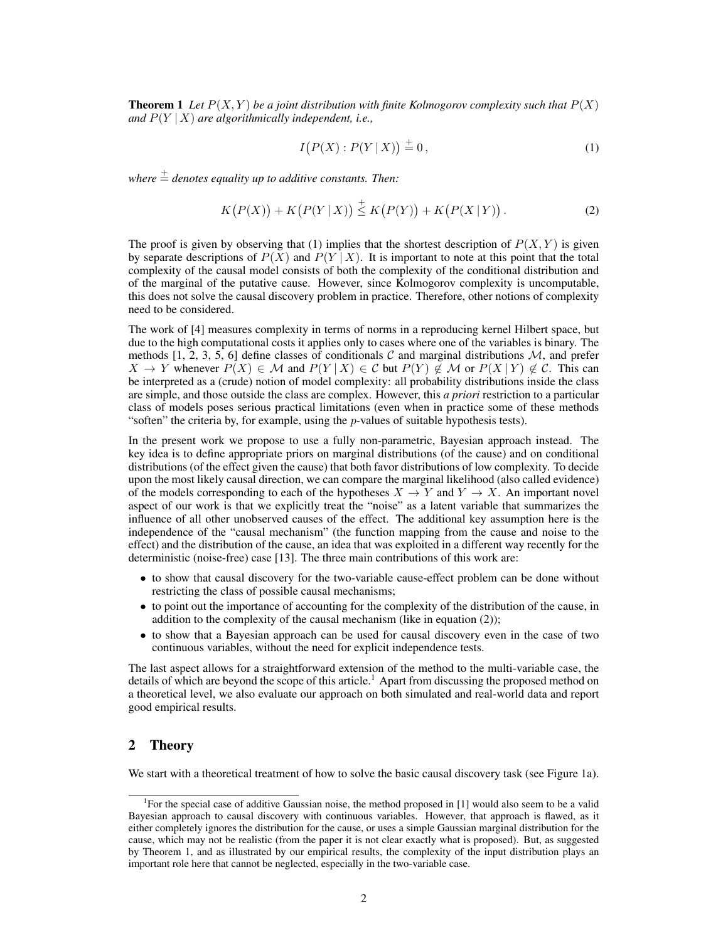**Theorem 1** Let  $P(X, Y)$  be a joint distribution with finite Kolmogorov complexity such that  $P(X)$ *and*  $P(Y | X)$  *are algorithmically independent, i.e.,* 

$$
I(P(X): P(Y | X)) \stackrel{+}{=} 0, \tag{1}
$$

*where*  $\stackrel{+}{=}$  *denotes equality up to additive constants. Then:* 

$$
K(P(X)) + K(P(Y | X)) \stackrel{+}{\leq} K(P(Y)) + K(P(X | Y)).
$$
 (2)

The proof is given by observing that (1) implies that the shortest description of  $P(X, Y)$  is given by separate descriptions of  $P(X)$  and  $P(Y | X)$ . It is important to note at this point that the total complexity of the causal model consists of both the complexity of the conditional distribution and of the marginal of the putative cause. However, since Kolmogorov complexity is uncomputable, this does not solve the causal discovery problem in practice. Therefore, other notions of complexity need to be considered.

The work of [4] measures complexity in terms of norms in a reproducing kernel Hilbert space, but due to the high computational costs it applies only to cases where one of the variables is binary. The methods [1, 2, 3, 5, 6] define classes of conditionals C and marginal distributions  $M$ , and prefer  $X \to Y$  whenever  $P(X) \in \mathcal{M}$  and  $P(Y | X) \in \mathcal{C}$  but  $P(Y) \notin \mathcal{M}$  or  $P(X | Y) \notin \mathcal{C}$ . This can be interpreted as a (crude) notion of model complexity: all probability distributions inside the class are simple, and those outside the class are complex. However, this *a priori* restriction to a particular class of models poses serious practical limitations (even when in practice some of these methods "soften" the criteria by, for example, using the  $p$ -values of suitable hypothesis tests).

In the present work we propose to use a fully non-parametric, Bayesian approach instead. The key idea is to define appropriate priors on marginal distributions (of the cause) and on conditional distributions (of the effect given the cause) that both favor distributions of low complexity. To decide upon the most likely causal direction, we can compare the marginal likelihood (also called evidence) of the models corresponding to each of the hypotheses  $X \to Y$  and  $Y \to X$ . An important novel aspect of our work is that we explicitly treat the "noise" as a latent variable that summarizes the influence of all other unobserved causes of the effect. The additional key assumption here is the independence of the "causal mechanism" (the function mapping from the cause and noise to the effect) and the distribution of the cause, an idea that was exploited in a different way recently for the deterministic (noise-free) case [13]. The three main contributions of this work are:

- to show that causal discovery for the two-variable cause-effect problem can be done without restricting the class of possible causal mechanisms;
- to point out the importance of accounting for the complexity of the distribution of the cause, in addition to the complexity of the causal mechanism (like in equation (2));
- to show that a Bayesian approach can be used for causal discovery even in the case of two continuous variables, without the need for explicit independence tests.

The last aspect allows for a straightforward extension of the method to the multi-variable case, the details of which are beyond the scope of this article.<sup>1</sup> Apart from discussing the proposed method on a theoretical level, we also evaluate our approach on both simulated and real-world data and report good empirical results.

## 2 Theory

We start with a theoretical treatment of how to solve the basic causal discovery task (see Figure 1a).

<sup>&</sup>lt;sup>1</sup>For the special case of additive Gaussian noise, the method proposed in [1] would also seem to be a valid Bayesian approach to causal discovery with continuous variables. However, that approach is flawed, as it either completely ignores the distribution for the cause, or uses a simple Gaussian marginal distribution for the cause, which may not be realistic (from the paper it is not clear exactly what is proposed). But, as suggested by Theorem 1, and as illustrated by our empirical results, the complexity of the input distribution plays an important role here that cannot be neglected, especially in the two-variable case.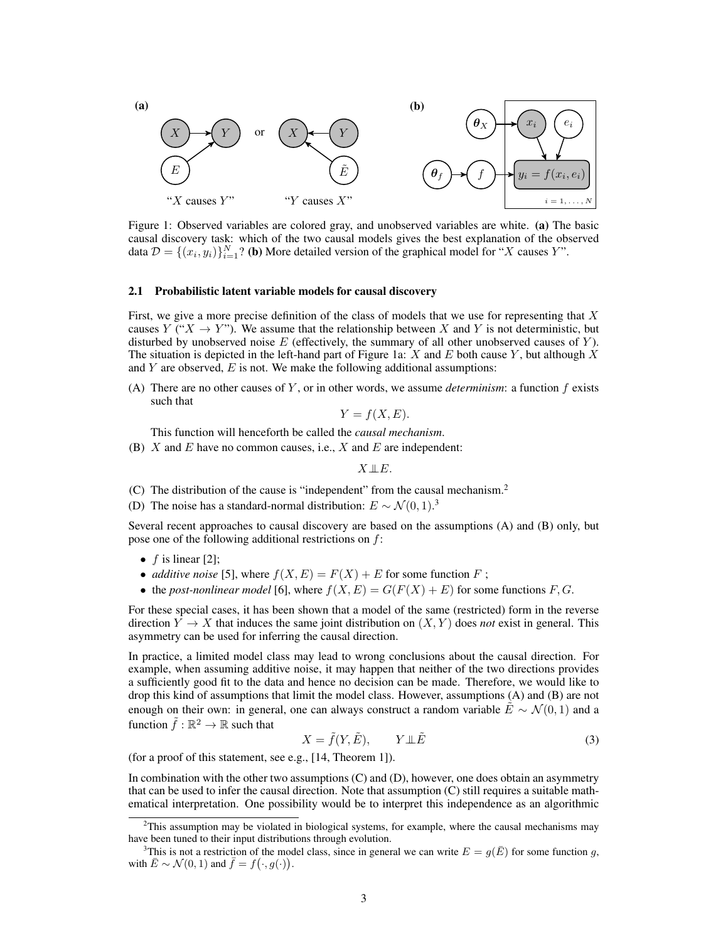

Figure 1: Observed variables are colored gray, and unobserved variables are white. (a) The basic causal discovery task: which of the two causal models gives the best explanation of the observed data  $\mathcal{D} = \{(x_i, y_i)\}_{i=1}^N$ ? (b) More detailed version of the graphical model for "X causes Y".

#### 2.1 Probabilistic latent variable models for causal discovery

First, we give a more precise definition of the class of models that we use for representing that  $X$ causes Y (" $X \to Y$ "). We assume that the relationship between X and Y is not deterministic, but disturbed by unobserved noise  $E$  (effectively, the summary of all other unobserved causes of  $Y$ ). The situation is depicted in the left-hand part of Figure 1a:  $X$  and  $E$  both cause  $Y$ , but although  $X$ and  $Y$  are observed,  $E$  is not. We make the following additional assumptions:

(A) There are no other causes of Y, or in other words, we assume *determinism*: a function  $f$  exists such that

$$
Y = f(X, E).
$$

This function will henceforth be called the *causal mechanism*.

(B) X and E have no common causes, i.e., X and E are independent:

 $X \perp\!\!\!\perp E$ .

(C) The distribution of the cause is "independent" from the causal mechanism.<sup>2</sup>

(D) The noise has a standard-normal distribution:  $E \sim \mathcal{N}(0, 1)^3$ 

Several recent approaches to causal discovery are based on the assumptions (A) and (B) only, but pose one of the following additional restrictions on  $f$ :

- $f$  is linear [2];
- *additive noise* [5], where  $f(X, E) = F(X) + E$  for some function F;
- the *post-nonlinear model* [6], where  $f(X, E) = G(F(X) + E)$  for some functions F, G.

For these special cases, it has been shown that a model of the same (restricted) form in the reverse direction  $Y \to X$  that induces the same joint distribution on  $(X, Y)$  does *not* exist in general. This asymmetry can be used for inferring the causal direction.

In practice, a limited model class may lead to wrong conclusions about the causal direction. For example, when assuming additive noise, it may happen that neither of the two directions provides a sufficiently good fit to the data and hence no decision can be made. Therefore, we would like to drop this kind of assumptions that limit the model class. However, assumptions (A) and (B) are not enough on their own: in general, one can always construct a random variable  $\tilde{E} \sim \mathcal{N}(0, 1)$  and a function  $\tilde{f} : \mathbb{R}^2 \to \mathbb{R}$  such that

$$
X = \tilde{f}(Y, \tilde{E}), \qquad Y \perp \tilde{E} \tag{3}
$$

(for a proof of this statement, see e.g., [14, Theorem 1]).

In combination with the other two assumptions (C) and (D), however, one does obtain an asymmetry that can be used to infer the causal direction. Note that assumption (C) still requires a suitable mathematical interpretation. One possibility would be to interpret this independence as an algorithmic

 $2$ This assumption may be violated in biological systems, for example, where the causal mechanisms may have been tuned to their input distributions through evolution.

<sup>&</sup>lt;sup>3</sup>This is not a restriction of the model class, since in general we can write  $E = g(\overline{E})$  for some function g, with  $\bar{E} \sim \mathcal{N}(0, 1)$  and  $\bar{f} = f(\cdot, g(\cdot)).$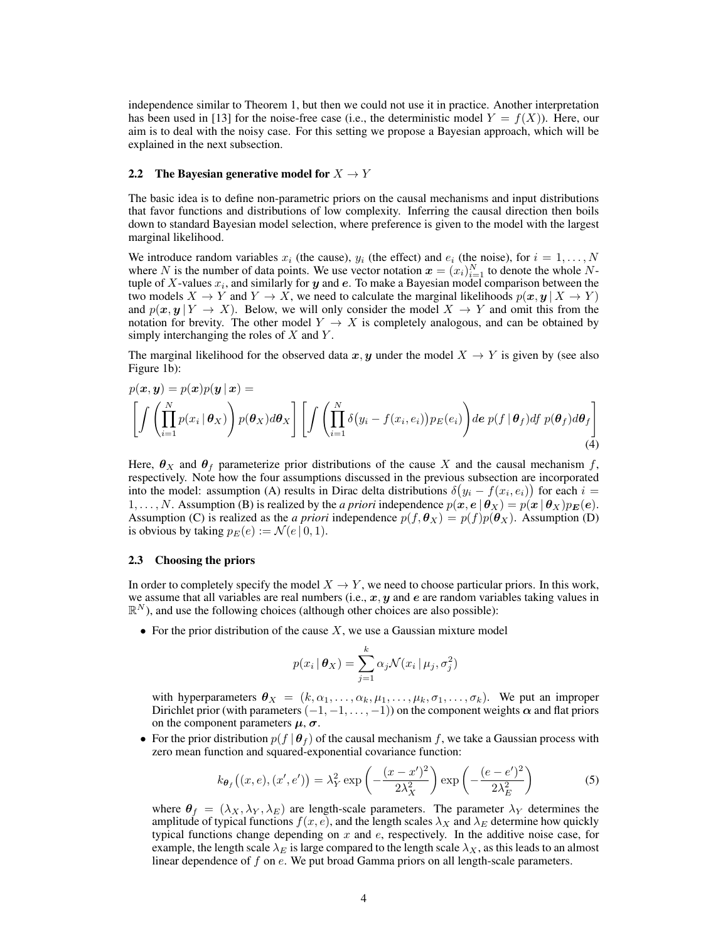independence similar to Theorem 1, but then we could not use it in practice. Another interpretation has been used in [13] for the noise-free case (i.e., the deterministic model  $Y = f(X)$ ). Here, our aim is to deal with the noisy case. For this setting we propose a Bayesian approach, which will be explained in the next subsection.

#### 2.2 The Bayesian generative model for  $X \to Y$

The basic idea is to define non-parametric priors on the causal mechanisms and input distributions that favor functions and distributions of low complexity. Inferring the causal direction then boils down to standard Bayesian model selection, where preference is given to the model with the largest marginal likelihood.

We introduce random variables  $x_i$  (the cause),  $y_i$  (the effect) and  $e_i$  (the noise), for  $i = 1, ..., N$ where N is the number of data points. We use vector notation  $x = (x_i)_{i=1}^N$  to denote the whole Ntuple of X-values  $x_i$ , and similarly for  $y$  and  $e$ . To make a Bayesian model comparison between the two models  $X \to Y$  and  $Y \to X$ , we need to calculate the marginal likelihoods  $p(x, y \mid X \to Y)$ and  $p(x, y | Y \rightarrow X)$ . Below, we will only consider the model  $X \rightarrow Y$  and omit this from the notation for brevity. The other model  $Y \to X$  is completely analogous, and can be obtained by simply interchanging the roles of  $X$  and  $Y$ .

The marginal likelihood for the observed data x, y under the model  $X \to Y$  is given by (see also Figure 1b):

$$
p(\boldsymbol{x}, \boldsymbol{y}) = p(\boldsymbol{x})p(\boldsymbol{y} \mid \boldsymbol{x}) = \left[ \int \left( \prod_{i=1}^{N} p(x_i \mid \boldsymbol{\theta}_X) \right) p(\boldsymbol{\theta}_X) d\boldsymbol{\theta}_X \right] \left[ \int \left( \prod_{i=1}^{N} \delta(y_i - f(x_i, e_i)) p_E(e_i) \right) de \ p(f \mid \boldsymbol{\theta}_f) df \ p(\boldsymbol{\theta}_f) d\boldsymbol{\theta}_f \right] \tag{4}
$$

Here,  $\theta_X$  and  $\theta_f$  parameterize prior distributions of the cause X and the causal mechanism f, respectively. Note how the four assumptions discussed in the previous subsection are incorporated into the model: assumption (A) results in Dirac delta distributions  $\delta(y_i - f(x_i, e_i))$  for each  $i =$ 1, ..., N. Assumption (B) is realized by the *a priori* independence  $p(x, e | \theta_X) = p(x | \theta_X) p_E(e)$ . Assumption (C) is realized as the *a priori* independence  $p(f, \theta_X) = p(f)p(\theta_X)$ . Assumption (D) is obvious by taking  $p_E(e) := \mathcal{N}(e \mid 0, 1)$ .

#### 2.3 Choosing the priors

In order to completely specify the model  $X \to Y$ , we need to choose particular priors. In this work, we assume that all variables are real numbers (i.e.,  $x, y$  and  $e$  are random variables taking values in  $\mathbb{R}^N$ ), and use the following choices (although other choices are also possible):

• For the prior distribution of the cause  $X$ , we use a Gaussian mixture model

$$
p(x_i | \boldsymbol{\theta}_X) = \sum_{j=1}^k \alpha_j \mathcal{N}(x_i | \mu_j, \sigma_j^2)
$$

with hyperparameters  $\theta_X = (k, \alpha_1, \ldots, \alpha_k, \mu_1, \ldots, \mu_k, \sigma_1, \ldots, \sigma_k)$ . We put an improper Dirichlet prior (with parameters  $(-1, -1, \ldots, -1)$ ) on the component weights  $\alpha$  and flat priors on the component parameters  $\mu$ ,  $\sigma$ .

• For the prior distribution  $p(f | \theta_f)$  of the causal mechanism f, we take a Gaussian process with zero mean function and squared-exponential covariance function:

$$
k_{\boldsymbol{\theta}_f}\big((x,e),(x',e')\big) = \lambda_Y^2 \exp\left(-\frac{(x-x')^2}{2\lambda_X^2}\right) \exp\left(-\frac{(e-e')^2}{2\lambda_E^2}\right) \tag{5}
$$

where  $\theta_f = (\lambda_X, \lambda_Y, \lambda_E)$  are length-scale parameters. The parameter  $\lambda_Y$  determines the amplitude of typical functions  $f(x, e)$ , and the length scales  $\lambda_X$  and  $\lambda_E$  determine how quickly typical functions change depending on  $x$  and  $e$ , respectively. In the additive noise case, for example, the length scale  $\lambda_E$  is large compared to the length scale  $\lambda_X$ , as this leads to an almost linear dependence of  $f$  on  $e$ . We put broad Gamma priors on all length-scale parameters.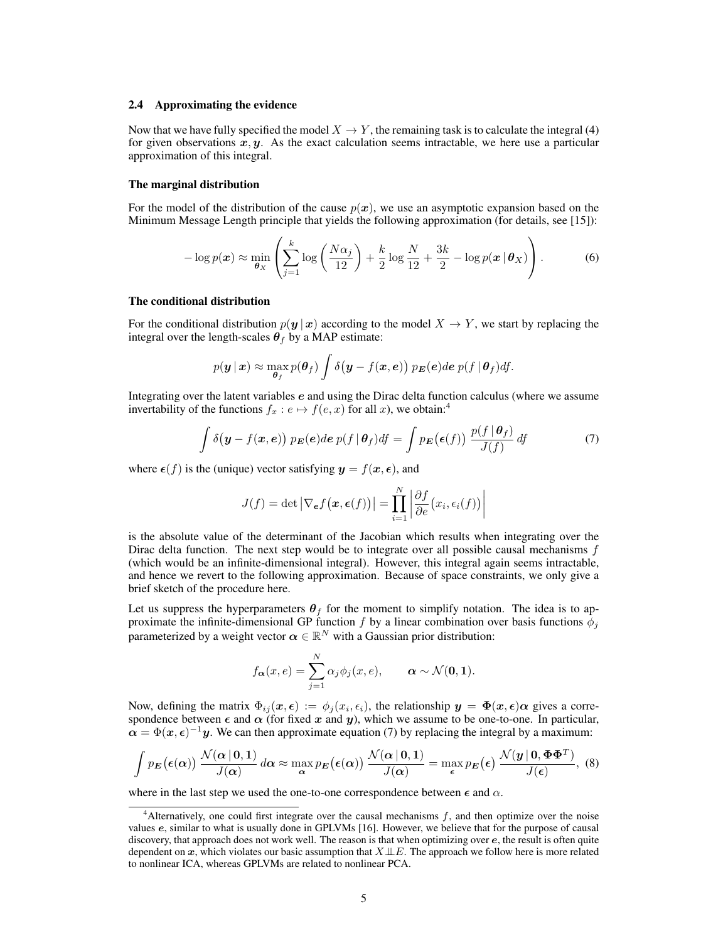#### 2.4 Approximating the evidence

Now that we have fully specified the model  $X \to Y$ , the remaining task is to calculate the integral (4) for given observations  $x, y$ . As the exact calculation seems intractable, we here use a particular approximation of this integral.

#### The marginal distribution

For the model of the distribution of the cause  $p(x)$ , we use an asymptotic expansion based on the Minimum Message Length principle that yields the following approximation (for details, see [15]):

$$
-\log p(\boldsymbol{x}) \approx \min_{\boldsymbol{\theta}_X} \left( \sum_{j=1}^k \log \left( \frac{N \alpha_j}{12} \right) + \frac{k}{2} \log \frac{N}{12} + \frac{3k}{2} - \log p(\boldsymbol{x} \, | \, \boldsymbol{\theta}_X) \right). \tag{6}
$$

#### The conditional distribution

For the conditional distribution  $p(y | x)$  according to the model  $X \to Y$ , we start by replacing the integral over the length-scales  $\theta_f$  by a MAP estimate:

$$
p(\boldsymbol{y} \,|\, \boldsymbol{x}) \approx \max_{\boldsymbol{\theta}_f} p(\boldsymbol{\theta}_f) \int \delta(\boldsymbol{y} - f(\boldsymbol{x}, \boldsymbol{e})) \ p_{\boldsymbol{E}}(\boldsymbol{e}) d\boldsymbol{e} \ p(f \,|\, \boldsymbol{\theta}_f) d\!f.
$$

Integrating over the latent variables e and using the Dirac delta function calculus (where we assume invertability of the functions  $f_x : e \mapsto f(e, x)$  for all x), we obtain:<sup>4</sup>

$$
\int \delta(\mathbf{y} - f(\mathbf{x}, \mathbf{e})) \ p_{\mathbf{E}}(\mathbf{e}) d\mathbf{e} \ p(f \mid \boldsymbol{\theta}_f) df = \int p_{\mathbf{E}}(\epsilon(f)) \ \frac{p(f \mid \boldsymbol{\theta}_f)}{J(f)} df \tag{7}
$$

where  $\epsilon(f)$  is the (unique) vector satisfying  $y = f(x, \epsilon)$ , and

$$
J(f) = \det \left| \nabla_{\boldsymbol{e}} f(\boldsymbol{x}, \boldsymbol{\epsilon}(f)) \right| = \prod_{i=1}^{N} \left| \frac{\partial f}{\partial e}(x_i, \epsilon_i(f)) \right|
$$

is the absolute value of the determinant of the Jacobian which results when integrating over the Dirac delta function. The next step would be to integrate over all possible causal mechanisms  $f$ (which would be an infinite-dimensional integral). However, this integral again seems intractable, and hence we revert to the following approximation. Because of space constraints, we only give a brief sketch of the procedure here.

Let us suppress the hyperparameters  $\theta_f$  for the moment to simplify notation. The idea is to approximate the infinite-dimensional GP function f by a linear combination over basis functions  $\phi_j$ parameterized by a weight vector  $\boldsymbol{\alpha} \in \mathbb{R}^N$  with a Gaussian prior distribution:

$$
f_{\boldsymbol{\alpha}}(x,e) = \sum_{j=1}^{N} \alpha_j \phi_j(x,e), \qquad \boldsymbol{\alpha} \sim \mathcal{N}(\mathbf{0},\mathbf{1}).
$$

Now, defining the matrix  $\Phi_{ij}(x,\epsilon) := \phi_j(x_i,\epsilon_i)$ , the relationship  $y = \Phi(x,\epsilon)\alpha$  gives a correspondence between  $\epsilon$  and  $\alpha$  (for fixed x and y), which we assume to be one-to-one. In particular,  $\alpha = \Phi(x, \epsilon)^{-1}y$ . We can then approximate equation (7) by replacing the integral by a maximum:

$$
\int p_{\mathbf{E}}(\epsilon(\alpha)) \frac{\mathcal{N}(\alpha \,|\, \mathbf{0}, \mathbf{1})}{J(\alpha)} d\alpha \approx \max_{\alpha} p_{\mathbf{E}}(\epsilon(\alpha)) \frac{\mathcal{N}(\alpha \,|\, \mathbf{0}, \mathbf{1})}{J(\alpha)} = \max_{\epsilon} p_{\mathbf{E}}(\epsilon) \frac{\mathcal{N}(\mathbf{y} \,|\, \mathbf{0}, \mathbf{\Phi} \mathbf{\Phi}^T)}{J(\epsilon)}, \tag{8}
$$

where in the last step we used the one-to-one correspondence between  $\epsilon$  and  $\alpha$ .

 $4$ Alternatively, one could first integrate over the causal mechanisms  $f$ , and then optimize over the noise values e, similar to what is usually done in GPLVMs [16]. However, we believe that for the purpose of causal discovery, that approach does not work well. The reason is that when optimizing over e, the result is often quite dependent on x, which violates our basic assumption that  $X \perp\!\!\!\perp E$ . The approach we follow here is more related to nonlinear ICA, whereas GPLVMs are related to nonlinear PCA.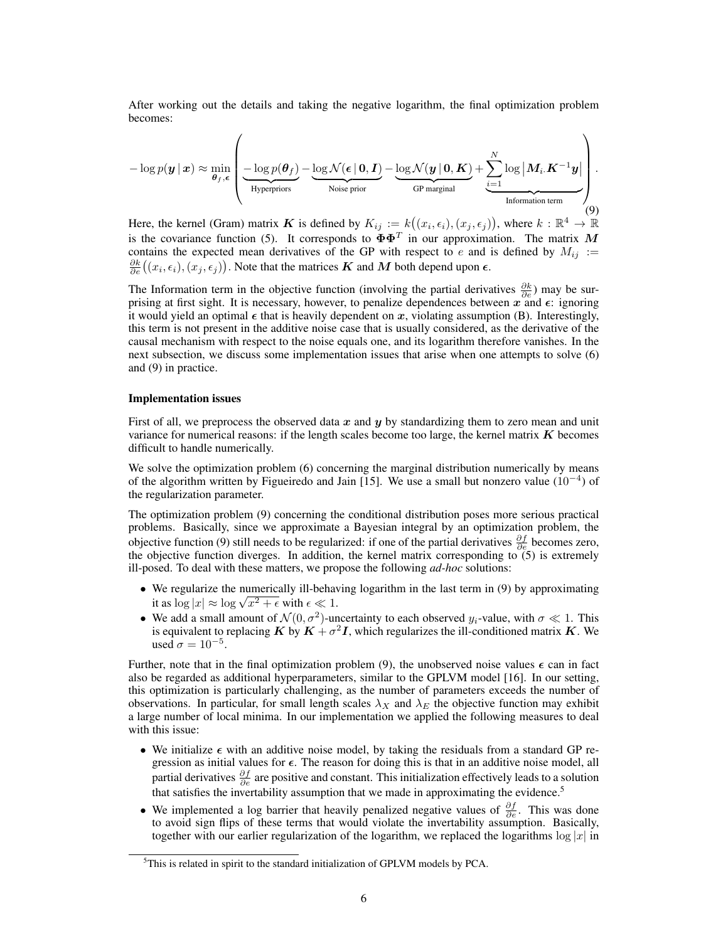After working out the details and taking the negative logarithm, the final optimization problem becomes:

$$
-\log p(\boldsymbol{y} \,|\, \boldsymbol{x}) \approx \min_{\boldsymbol{\theta}_f, \boldsymbol{\epsilon}} \left( \underbrace{-\log p(\boldsymbol{\theta}_f)}_{\text{Hyperpriors}} - \underbrace{\log \mathcal{N}(\boldsymbol{\epsilon} \,|\, \boldsymbol{0}, \boldsymbol{I})}_{\text{Noise prior}} - \underbrace{\log \mathcal{N}(\boldsymbol{y} \,|\, \boldsymbol{0}, \boldsymbol{K})}_{\text{GP marginal}} + \underbrace{\sum_{i=1}^{N} \log \big| \boldsymbol{M}_i . \boldsymbol{K}^{-1} \boldsymbol{y} \big|}_{\text{Information term}} \right). \tag{9}
$$

Here, the kernel (Gram) matrix K is defined by  $K_{ij} := k((x_i, \epsilon_i), (x_j, \epsilon_j))$ , where  $k : \mathbb{R}^4 \to \mathbb{R}^4$ is the covariance function (5). It corresponds to  $\Phi\Phi^T$  in our approximation. The matrix M contains the expected mean derivatives of the GP with respect to e and is defined by  $M_{ij}$  :=  $\frac{\partial k}{\partial e}((x_i, \epsilon_i), (x_j, \epsilon_j))$ . Note that the matrices  $K$  and  $M$  both depend upon  $\epsilon$ .

The Information term in the objective function (involving the partial derivatives  $\frac{\partial k}{\partial e}$ ) may be surprising at first sight. It is necessary, however, to penalize dependences between x and  $\epsilon$ : ignoring it would yield an optimal  $\epsilon$  that is heavily dependent on x, violating assumption (B). Interestingly, this term is not present in the additive noise case that is usually considered, as the derivative of the causal mechanism with respect to the noise equals one, and its logarithm therefore vanishes. In the next subsection, we discuss some implementation issues that arise when one attempts to solve (6) and (9) in practice.

#### Implementation issues

First of all, we preprocess the observed data  $x$  and  $y$  by standardizing them to zero mean and unit variance for numerical reasons: if the length scales become too large, the kernel matrix  $\boldsymbol{K}$  becomes difficult to handle numerically.

We solve the optimization problem (6) concerning the marginal distribution numerically by means of the algorithm written by Figueiredo and Jain [15]. We use a small but nonzero value  $(10^{-4})$  of the regularization parameter.

The optimization problem (9) concerning the conditional distribution poses more serious practical problems. Basically, since we approximate a Bayesian integral by an optimization problem, the objective function (9) still needs to be regularized: if one of the partial derivatives  $\frac{\partial f}{\partial e}$  becomes zero, the objective function diverges. In addition, the kernel matrix corresponding to  $(5)$  is extremely ill-posed. To deal with these matters, we propose the following *ad-hoc* solutions:

- We regularize the numerically ill-behaving logarithm in the last term in (9) by approximating we regularize the numerically ill-behave<br>it as  $\log |x| \approx \log \sqrt{x^2 + \epsilon}$  with  $\epsilon \ll 1$ .
- We add a small amount of  $\mathcal{N}(0, \sigma^2)$ -uncertainty to each observed  $y_i$ -value, with  $\sigma \ll 1$ . This is equivalent to replacing  $K$  by  $K+\sigma^2 I$ , which regularizes the ill-conditioned matrix  $K$ . We used  $\sigma = 10^{-5}$ .

Further, note that in the final optimization problem (9), the unobserved noise values  $\epsilon$  can in fact also be regarded as additional hyperparameters, similar to the GPLVM model [16]. In our setting, this optimization is particularly challenging, as the number of parameters exceeds the number of observations. In particular, for small length scales  $\lambda_X$  and  $\lambda_E$  the objective function may exhibit a large number of local minima. In our implementation we applied the following measures to deal with this issue:

- We initialize  $\epsilon$  with an additive noise model, by taking the residuals from a standard GP regression as initial values for  $\epsilon$ . The reason for doing this is that in an additive noise model, all partial derivatives  $\frac{\partial f}{\partial e}$  are positive and constant. This initialization effectively leads to a solution that satisfies the invertability assumption that we made in approximating the evidence.<sup>5</sup>
- We implemented a log barrier that heavily penalized negative values of  $\frac{\partial f}{\partial e}$ . This was done to avoid sign flips of these terms that would violate the invertability assumption. Basically, together with our earlier regularization of the logarithm, we replaced the logarithms  $\log |x|$  in

<sup>&</sup>lt;sup>5</sup>This is related in spirit to the standard initialization of GPLVM models by PCA.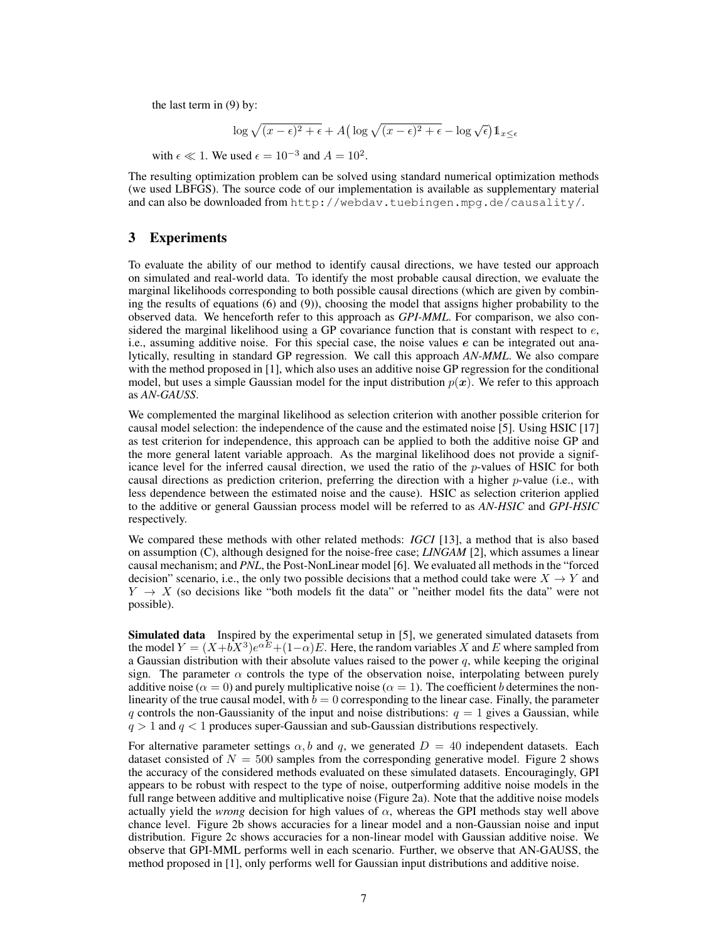the last term in (9) by:

$$
\log \sqrt{(x-\epsilon)^2 + \epsilon} + A\left(\log \sqrt{(x-\epsilon)^2 + \epsilon} - \log \sqrt{\epsilon}\right) \mathbb{1}_{x \le \epsilon}
$$

with  $\epsilon \ll 1$ . We used  $\epsilon = 10^{-3}$  and  $A = 10^2$ .

The resulting optimization problem can be solved using standard numerical optimization methods (we used LBFGS). The source code of our implementation is available as supplementary material and can also be downloaded from http://webdav.tuebingen.mpg.de/causality/.

# 3 Experiments

To evaluate the ability of our method to identify causal directions, we have tested our approach on simulated and real-world data. To identify the most probable causal direction, we evaluate the marginal likelihoods corresponding to both possible causal directions (which are given by combining the results of equations (6) and (9)), choosing the model that assigns higher probability to the observed data. We henceforth refer to this approach as *GPI-MML*. For comparison, we also considered the marginal likelihood using a GP covariance function that is constant with respect to  $e$ , i.e., assuming additive noise. For this special case, the noise values e can be integrated out analytically, resulting in standard GP regression. We call this approach *AN-MML*. We also compare with the method proposed in [1], which also uses an additive noise GP regression for the conditional model, but uses a simple Gaussian model for the input distribution  $p(x)$ . We refer to this approach as *AN-GAUSS*.

We complemented the marginal likelihood as selection criterion with another possible criterion for causal model selection: the independence of the cause and the estimated noise [5]. Using HSIC [17] as test criterion for independence, this approach can be applied to both the additive noise GP and the more general latent variable approach. As the marginal likelihood does not provide a significance level for the inferred causal direction, we used the ratio of the  $p$ -values of HSIC for both causal directions as prediction criterion, preferring the direction with a higher  $p$ -value (i.e., with less dependence between the estimated noise and the cause). HSIC as selection criterion applied to the additive or general Gaussian process model will be referred to as *AN-HSIC* and *GPI-HSIC* respectively.

We compared these methods with other related methods: *IGCI* [13], a method that is also based on assumption (C), although designed for the noise-free case; *LINGAM* [2], which assumes a linear causal mechanism; and *PNL*, the Post-NonLinear model [6]. We evaluated all methods in the "forced decision" scenario, i.e., the only two possible decisions that a method could take were  $X \to Y$  and  $Y \rightarrow X$  (so decisions like "both models fit the data" or "neither model fits the data" were not possible).

Simulated data Inspired by the experimental setup in [5], we generated simulated datasets from the model  $Y = (X + bX^3)e^{\alpha E} + (1 - \alpha)E$ . Here, the random variables X and E where sampled from a Gaussian distribution with their absolute values raised to the power  $q$ , while keeping the original sign. The parameter  $\alpha$  controls the type of the observation noise, interpolating between purely additive noise ( $\alpha = 0$ ) and purely multiplicative noise ( $\alpha = 1$ ). The coefficient b determines the nonlinearity of the true causal model, with  $b = 0$  corresponding to the linear case. Finally, the parameter q controls the non-Gaussianity of the input and noise distributions:  $q = 1$  gives a Gaussian, while  $q > 1$  and  $q < 1$  produces super-Gaussian and sub-Gaussian distributions respectively.

For alternative parameter settings  $\alpha$ , b and q, we generated  $D = 40$  independent datasets. Each dataset consisted of  $N = 500$  samples from the corresponding generative model. Figure 2 shows the accuracy of the considered methods evaluated on these simulated datasets. Encouragingly, GPI appears to be robust with respect to the type of noise, outperforming additive noise models in the full range between additive and multiplicative noise (Figure 2a). Note that the additive noise models actually yield the *wrong* decision for high values of  $\alpha$ , whereas the GPI methods stay well above chance level. Figure 2b shows accuracies for a linear model and a non-Gaussian noise and input distribution. Figure 2c shows accuracies for a non-linear model with Gaussian additive noise. We observe that GPI-MML performs well in each scenario. Further, we observe that AN-GAUSS, the method proposed in [1], only performs well for Gaussian input distributions and additive noise.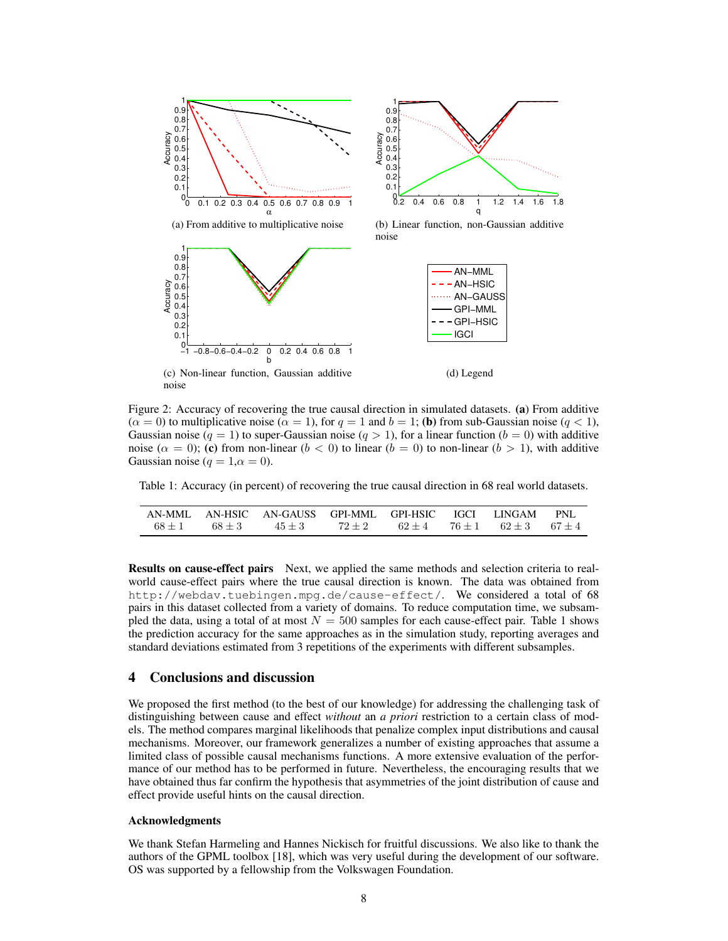



(b) Linear function, non-Gaussian additive noise



Figure 2: Accuracy of recovering the true causal direction in simulated datasets. (a) From additive  $(\alpha = 0)$  to multiplicative noise  $(\alpha = 1)$ , for  $q = 1$  and  $b = 1$ ; (b) from sub-Gaussian noise  $(q < 1)$ , Gaussian noise ( $q = 1$ ) to super-Gaussian noise ( $q > 1$ ), for a linear function ( $b = 0$ ) with additive noise ( $\alpha = 0$ ); (c) from non-linear ( $b < 0$ ) to linear ( $b = 0$ ) to non-linear ( $b > 1$ ), with additive Gaussian noise ( $q = 1, \alpha = 0$ ).

Table 1: Accuracy (in percent) of recovering the true causal direction in 68 real world datasets.

|  | AN-MML AN-HSIC AN-GAUSS GPI-MML GPI-HSIC IGCI LINGAM PNL |  |  |  |
|--|----------------------------------------------------------|--|--|--|
|  | $68+1$ $68+3$ $45+3$ $72+2$ $62+4$ $76+1$ $62+3$ $67+4$  |  |  |  |

Results on cause-effect pairs Next, we applied the same methods and selection criteria to realworld cause-effect pairs where the true causal direction is known. The data was obtained from http://webdav.tuebingen.mpg.de/cause-effect/. We considered a total of 68 pairs in this dataset collected from a variety of domains. To reduce computation time, we subsampled the data, using a total of at most  $N = 500$  samples for each cause-effect pair. Table 1 shows the prediction accuracy for the same approaches as in the simulation study, reporting averages and standard deviations estimated from 3 repetitions of the experiments with different subsamples.

### 4 Conclusions and discussion

We proposed the first method (to the best of our knowledge) for addressing the challenging task of distinguishing between cause and effect *without* an *a priori* restriction to a certain class of models. The method compares marginal likelihoods that penalize complex input distributions and causal mechanisms. Moreover, our framework generalizes a number of existing approaches that assume a limited class of possible causal mechanisms functions. A more extensive evaluation of the performance of our method has to be performed in future. Nevertheless, the encouraging results that we have obtained thus far confirm the hypothesis that asymmetries of the joint distribution of cause and effect provide useful hints on the causal direction.

#### Acknowledgments

We thank Stefan Harmeling and Hannes Nickisch for fruitful discussions. We also like to thank the authors of the GPML toolbox [18], which was very useful during the development of our software. OS was supported by a fellowship from the Volkswagen Foundation.